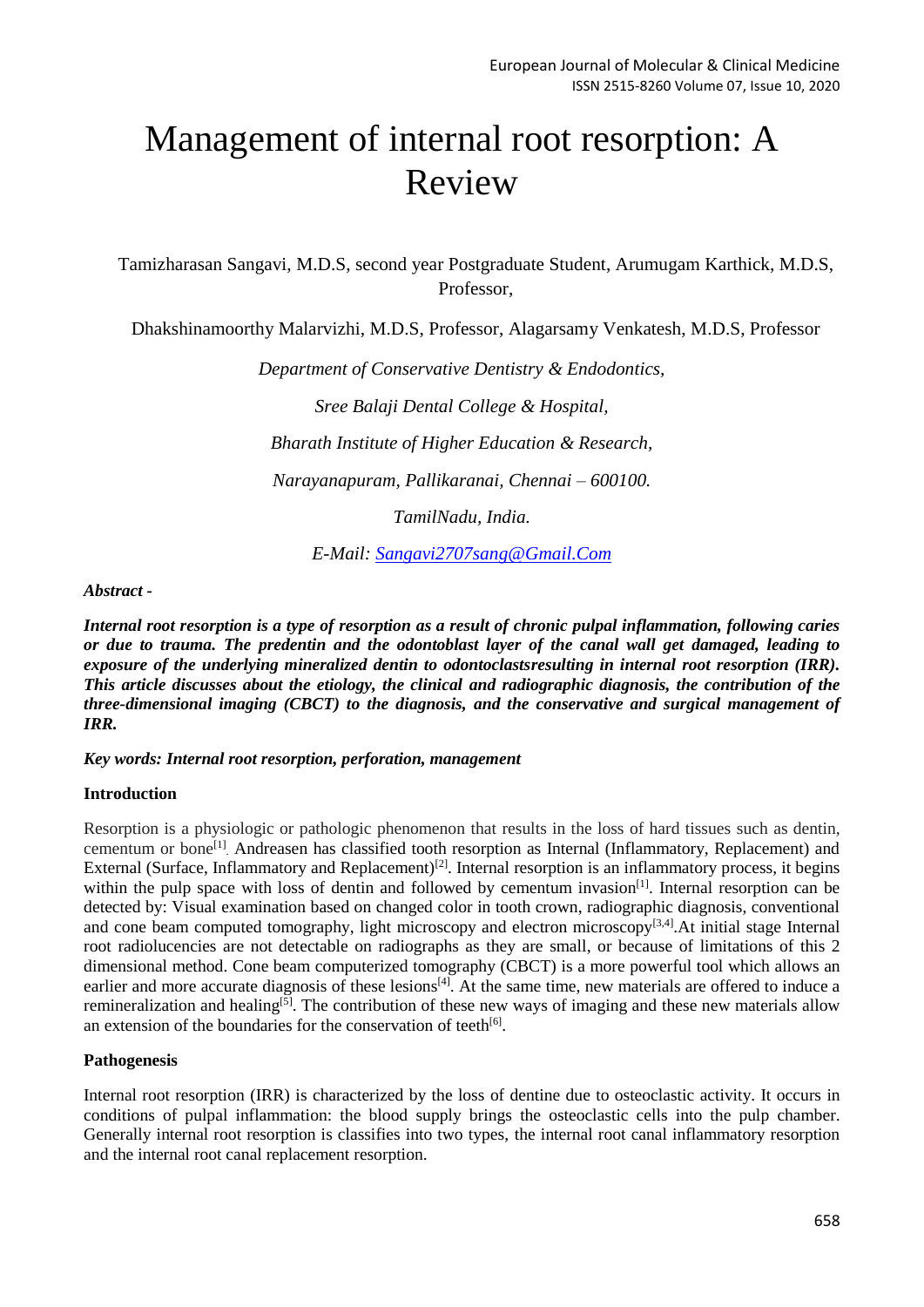# Management of internal root resorption: A Review

Tamizharasan Sangavi, M.D.S, second year Postgraduate Student, Arumugam Karthick, M.D.S, Professor,

Dhakshinamoorthy Malarvizhi, M.D.S, Professor, Alagarsamy Venkatesh, M.D.S, Professor

*Department of Conservative Dentistry & Endodontics, Sree Balaji Dental College & Hospital, Bharath Institute of Higher Education & Research, Narayanapuram, Pallikaranai, Chennai – 600100.*

*TamilNadu, India.*

*E-Mail: [Sangavi2707sang@Gmail.Com](mailto:sangavi2707sang@gmail.com)*

## *Abstract -*

*Internal root resorption is a type of resorption as a result of chronic pulpal inflammation, following caries or due to trauma. The predentin and the odontoblast layer of the canal wall get damaged, leading to exposure of the underlying mineralized dentin to odontoclastsresulting in internal root resorption (IRR). This article discusses about the etiology, the clinical and radiographic diagnosis, the contribution of the three-dimensional imaging (CBCT) to the diagnosis, and the conservative and surgical management of IRR.* 

*Key words: Internal root resorption, perforation, management* 

## **Introduction**

Resorption is a physiologic or pathologic phenomenon that results in the loss of hard tissues such as dentin, cementum or bone<sup>[1]</sup>. Andreasen has classified tooth resorption as Internal (Inflammatory, Replacement) and External (Surface, Inflammatory and Replacement)<sup>[2]</sup>. Internal resorption is an inflammatory process, it begins within the pulp space with loss of dentin and followed by cementum invasion<sup>[1]</sup>. Internal resorption can be detected by: Visual examination based on changed color in tooth crown, radiographic diagnosis, conventional and cone beam computed tomography, light microscopy and electron microscopy<sup>[3,4]</sup>. At initial stage Internal root radiolucencies are not detectable on radiographs as they are small, or because of limitations of this 2 dimensional method. Cone beam computerized tomography (CBCT) is a more powerful tool which allows an earlier and more accurate diagnosis of these lesions<sup>[4]</sup>. At the same time, new materials are offered to induce a remineralization and healing<sup>[5]</sup>. The contribution of these new ways of imaging and these new materials allow an extension of the boundaries for the conservation of teeth<sup>[6]</sup>.

## **Pathogenesis**

Internal root resorption (IRR) is characterized by the loss of dentine due to osteoclastic activity. It occurs in conditions of pulpal inflammation: the blood supply brings the osteoclastic cells into the pulp chamber. Generally internal root resorption is classifies into two types, the internal root canal inflammatory resorption and the internal root canal replacement resorption.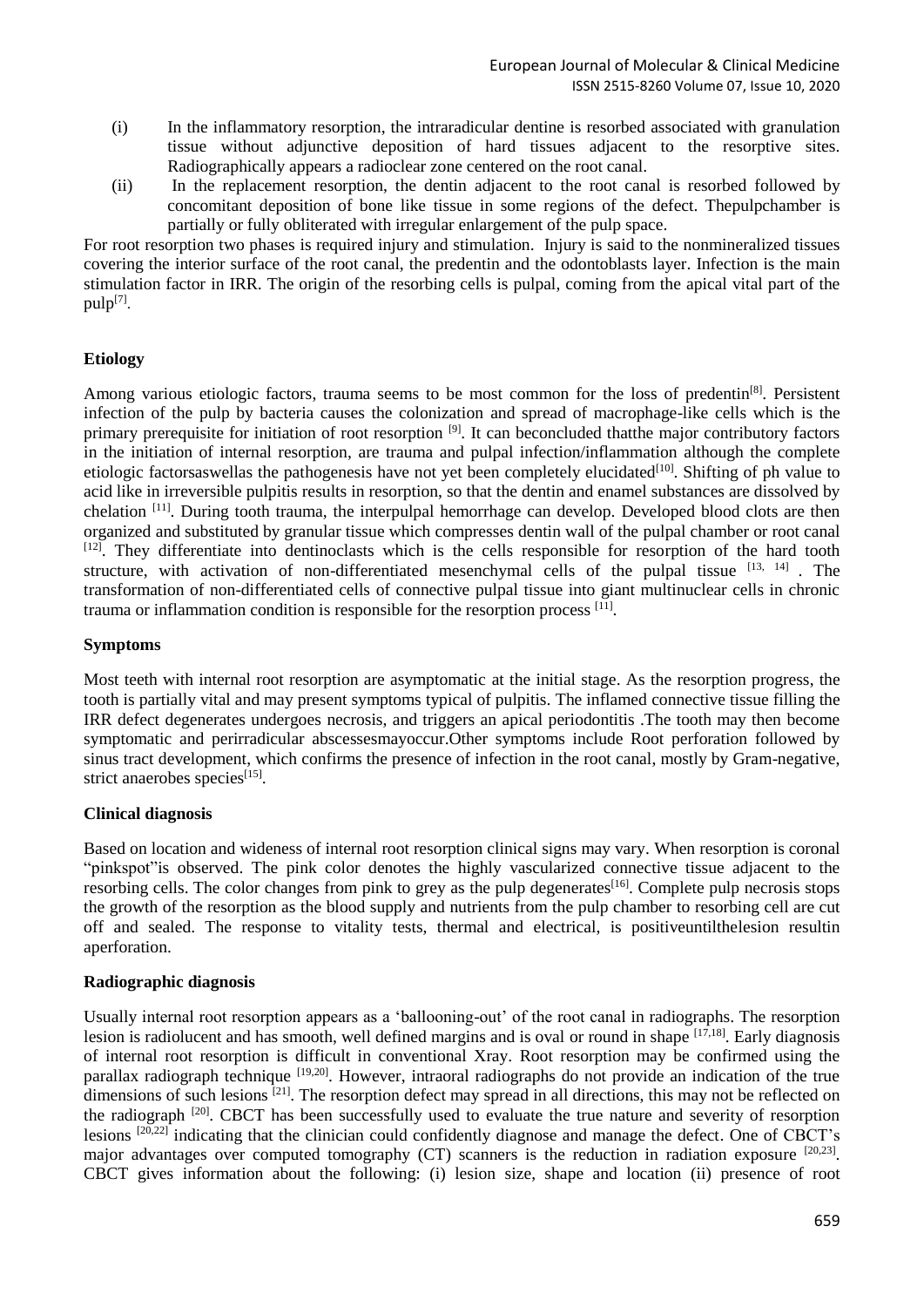- (i) In the inflammatory resorption, the intraradicular dentine is resorbed associated with granulation tissue without adjunctive deposition of hard tissues adjacent to the resorptive sites. Radiographically appears a radioclear zone centered on the root canal.
- (ii) In the replacement resorption, the dentin adjacent to the root canal is resorbed followed by concomitant deposition of bone like tissue in some regions of the defect. Thepulpchamber is partially or fully obliterated with irregular enlargement of the pulp space.

For root resorption two phases is required injury and stimulation. Injury is said to the nonmineralized tissues covering the interior surface of the root canal, the predentin and the odontoblasts layer. Infection is the main stimulation factor in IRR. The origin of the resorbing cells is pulpal, coming from the apical vital part of the pulp[7].

# **Etiology**

Among various etiologic factors, trauma seems to be most common for the loss of predentin<sup>[8]</sup>. Persistent infection of the pulp by bacteria causes the colonization and spread of macrophage-like cells which is the primary prerequisite for initiation of root resorption <sup>[9]</sup>. It can beconcluded thatthe major contributory factors in the initiation of internal resorption, are trauma and pulpal infection/inflammation although the complete etiologic factorsaswellas the pathogenesis have not yet been completely elucidated<sup>[10]</sup>. Shifting of ph value to acid like in irreversible pulpitis results in resorption, so that the dentin and enamel substances are dissolved by chelation <sup>[11]</sup>. During tooth trauma, the interpulpal hemorrhage can develop. Developed blood clots are then organized and substituted by granular tissue which compresses dentin wall of the pulpal chamber or root canal [12]. They differentiate into dentinoclasts which is the cells responsible for resorption of the hard tooth structure, with activation of non-differentiated mesenchymal cells of the pulpal tissue  $^{[13, 14]}$ . The transformation of non-differentiated cells of connective pulpal tissue into giant multinuclear cells in chronic trauma or inflammation condition is responsible for the resorption process [11] .

## **Symptoms**

Most teeth with internal root resorption are asymptomatic at the initial stage. As the resorption progress, the tooth is partially vital and may present symptoms typical of pulpitis. The inflamed connective tissue filling the IRR defect degenerates undergoes necrosis, and triggers an apical periodontitis .The tooth may then become symptomatic and perirradicular abscessesmayoccur.Other symptoms include Root perforation followed by sinus tract development, which confirms the presence of infection in the root canal, mostly by Gram-negative, strict anaerobes species<sup>[15]</sup>.

## **Clinical diagnosis**

Based on location and wideness of internal root resorption clinical signs may vary. When resorption is coronal "pinkspot"is observed. The pink color denotes the highly vascularized connective tissue adjacent to the resorbing cells. The color changes from pink to grey as the pulp degenerates<sup>[16]</sup>. Complete pulp necrosis stops the growth of the resorption as the blood supply and nutrients from the pulp chamber to resorbing cell are cut off and sealed. The response to vitality tests, thermal and electrical, is positiveuntilthelesion resultin aperforation.

## **Radiographic diagnosis**

Usually internal root resorption appears as a 'ballooning-out' of the root canal in radiographs. The resorption lesion is radiolucent and has smooth, well defined margins and is oval or round in shape [17,18]. Early diagnosis of internal root resorption is difficult in conventional Xray. Root resorption may be confirmed using the parallax radiograph technique <sup>[19,20]</sup>. However, intraoral radiographs do not provide an indication of the true dimensions of such lesions <sup>[21]</sup>. The resorption defect may spread in all directions, this may not be reflected on the radiograph <sup>[20]</sup>. CBCT has been successfully used to evaluate the true nature and severity of resorption lesions [20,22] indicating that the clinician could confidently diagnose and manage the defect. One of CBCT's major advantages over computed tomography (CT) scanners is the reduction in radiation exposure [20,23]. CBCT gives information about the following: (i) lesion size, shape and location (ii) presence of root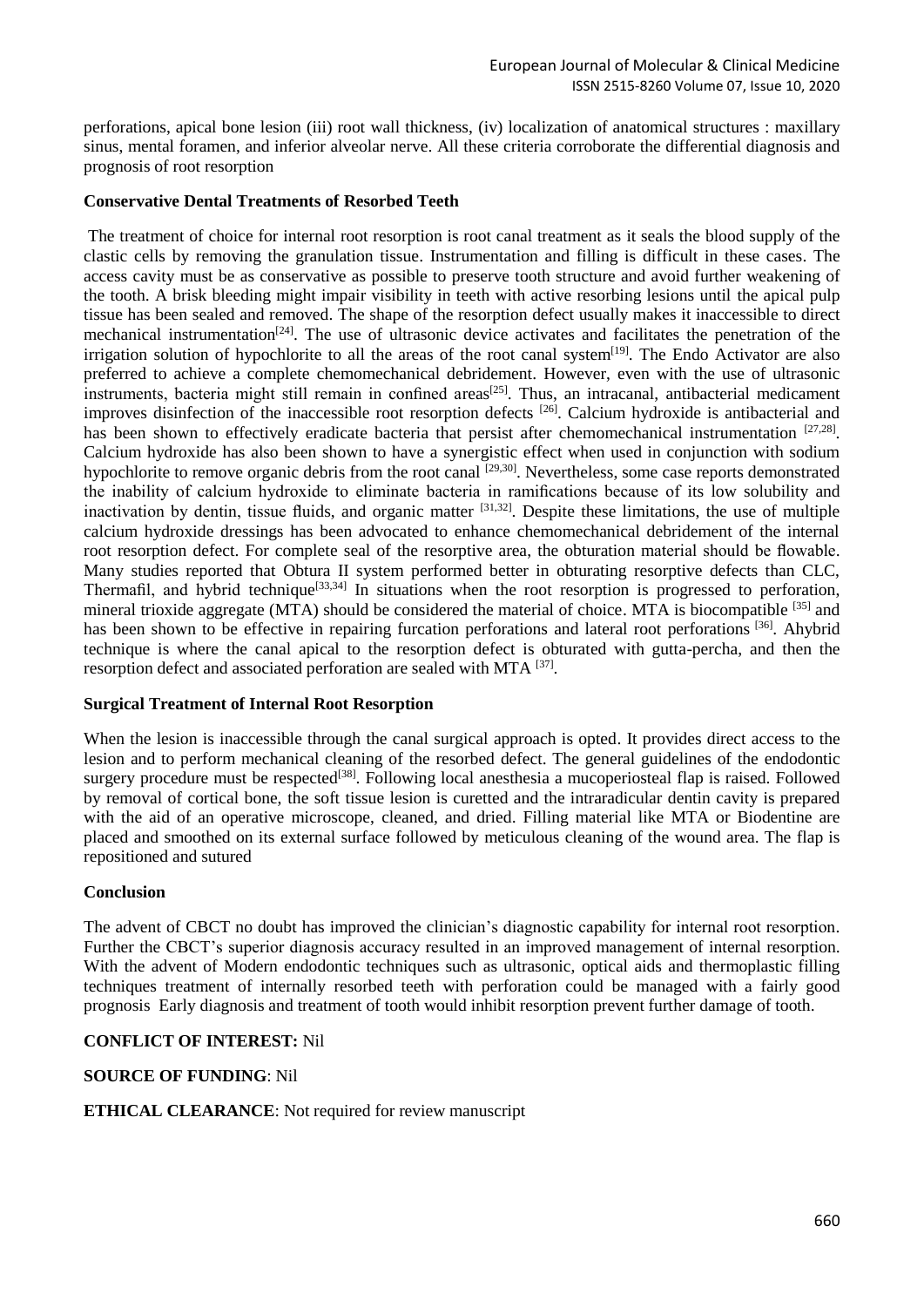perforations, apical bone lesion (iii) root wall thickness, (iv) localization of anatomical structures : maxillary sinus, mental foramen, and inferior alveolar nerve. All these criteria corroborate the differential diagnosis and prognosis of root resorption

## **Conservative Dental Treatments of Resorbed Teeth**

The treatment of choice for internal root resorption is root canal treatment as it seals the blood supply of the clastic cells by removing the granulation tissue. Instrumentation and filling is difficult in these cases. The access cavity must be as conservative as possible to preserve tooth structure and avoid further weakening of the tooth. A brisk bleeding might impair visibility in teeth with active resorbing lesions until the apical pulp tissue has been sealed and removed. The shape of the resorption defect usually makes it inaccessible to direct mechanical instrumentation<sup>[24]</sup>. The use of ultrasonic device activates and facilitates the penetration of the irrigation solution of hypochlorite to all the areas of the root canal system<sup>[19]</sup>. The Endo Activator are also preferred to achieve a complete chemomechanical debridement. However, even with the use of ultrasonic instruments, bacteria might still remain in confined areas<sup>[25]</sup>. Thus, an intracanal, antibacterial medicament improves disinfection of the inaccessible root resorption defects <sup>[26]</sup>. Calcium hydroxide is antibacterial and has been shown to effectively eradicate bacteria that persist after chemomechanical instrumentation [27,28]. Calcium hydroxide has also been shown to have a synergistic effect when used in conjunction with sodium hypochlorite to remove organic debris from the root canal <sup>[29,30]</sup>. Nevertheless, some case reports demonstrated the inability of calcium hydroxide to eliminate bacteria in ramifications because of its low solubility and inactivation by dentin, tissue fluids, and organic matter <sup>[31,32]</sup>. Despite these limitations, the use of multiple calcium hydroxide dressings has been advocated to enhance chemomechanical debridement of the internal root resorption defect. For complete seal of the resorptive area, the obturation material should be flowable. Many studies reported that Obtura II system performed better in obturating resorptive defects than CLC. Thermafil, and hybrid technique<sup>[33,34]</sup> In situations when the root resorption is progressed to perforation, mineral trioxide aggregate (MTA) should be considered the material of choice. MTA is biocompatible <sup>[35]</sup> and has been shown to be effective in repairing furcation perforations and lateral root perforations [36]. Ahybrid technique is where the canal apical to the resorption defect is obturated with gutta-percha, and then the resorption defect and associated perforation are sealed with MTA [37].

#### **Surgical Treatment of Internal Root Resorption**

When the lesion is inaccessible through the canal surgical approach is opted. It provides direct access to the lesion and to perform mechanical cleaning of the resorbed defect. The general guidelines of the endodontic surgery procedure must be respected<sup>[38]</sup>. Following local anesthesia a mucoperiosteal flap is raised. Followed by removal of cortical bone, the soft tissue lesion is curetted and the intraradicular dentin cavity is prepared with the aid of an operative microscope, cleaned, and dried. Filling material like MTA or Biodentine are placed and smoothed on its external surface followed by meticulous cleaning of the wound area. The flap is repositioned and sutured

#### **Conclusion**

The advent of CBCT no doubt has improved the clinician's diagnostic capability for internal root resorption. Further the CBCT's superior diagnosis accuracy resulted in an improved management of internal resorption. With the advent of Modern endodontic techniques such as ultrasonic, optical aids and thermoplastic filling techniques treatment of internally resorbed teeth with perforation could be managed with a fairly good prognosis Early diagnosis and treatment of tooth would inhibit resorption prevent further damage of tooth.

## **CONFLICT OF INTEREST:** Nil

## **SOURCE OF FUNDING**: Nil

## **ETHICAL CLEARANCE**: Not required for review manuscript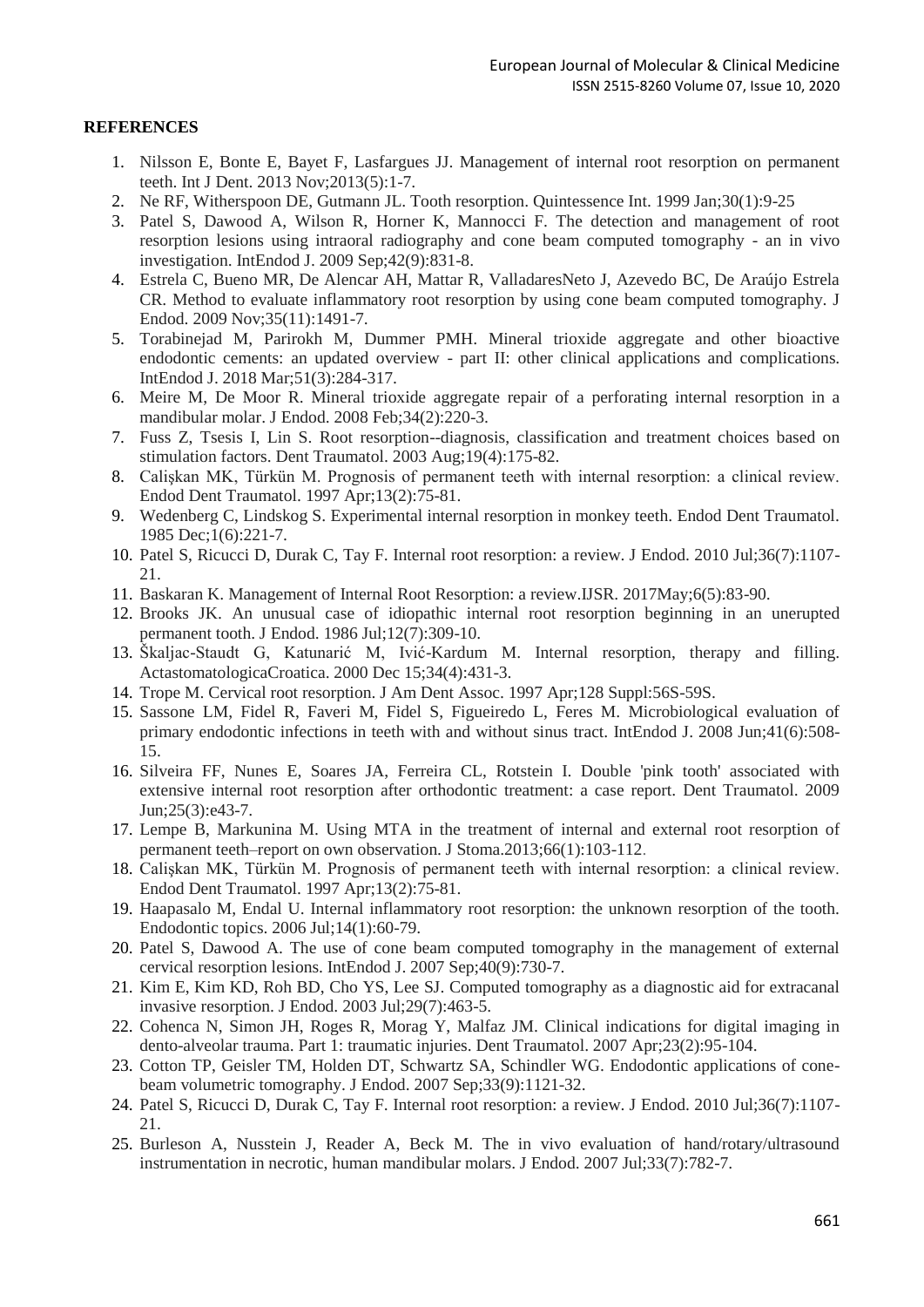## **REFERENCES**

- 1. Nilsson E, Bonte E, Bayet F, Lasfargues JJ. Management of internal root resorption on permanent teeth. Int J Dent. 2013 Nov;2013(5):1-7.
- 2. Ne RF, Witherspoon DE, Gutmann JL. Tooth resorption. Quintessence Int. 1999 Jan;30(1):9-25
- 3. Patel S, Dawood A, Wilson R, Horner K, Mannocci F. The detection and management of root resorption lesions using intraoral radiography and cone beam computed tomography - an in vivo investigation. IntEndod J. 2009 Sep;42(9):831-8.
- 4. Estrela C, Bueno MR, De Alencar AH, Mattar R, ValladaresNeto J, Azevedo BC, De Araújo Estrela CR. Method to evaluate inflammatory root resorption by using cone beam computed tomography. J Endod. 2009 Nov;35(11):1491-7.
- 5. Torabinejad M, Parirokh M, Dummer PMH. Mineral trioxide aggregate and other bioactive endodontic cements: an updated overview - part II: other clinical applications and complications. IntEndod J. 2018 Mar;51(3):284-317.
- 6. Meire M, De Moor R. Mineral trioxide aggregate repair of a perforating internal resorption in a mandibular molar. J Endod. 2008 Feb;34(2):220-3.
- 7. Fuss Z, Tsesis I, Lin S. Root resorption--diagnosis, classification and treatment choices based on stimulation factors. Dent Traumatol. 2003 Aug;19(4):175-82.
- 8. Calişkan MK, Türkün M. Prognosis of permanent teeth with internal resorption: a clinical review. Endod Dent Traumatol. 1997 Apr;13(2):75-81.
- 9. Wedenberg C, Lindskog S. Experimental internal resorption in monkey teeth. Endod Dent Traumatol. 1985 Dec;1(6):221-7.
- 10. Patel S, Ricucci D, Durak C, Tay F. Internal root resorption: a review. J Endod. 2010 Jul;36(7):1107- 21.
- 11. Baskaran K. Management of Internal Root Resorption: a review.IJSR. 2017May;6(5):83-90.
- 12. Brooks JK. An unusual case of idiopathic internal root resorption beginning in an unerupted permanent tooth. J Endod. 1986 Jul;12(7):309-10.
- 13. Škaljac-Staudt G, Katunarić M, Ivić-Kardum M. Internal resorption, therapy and filling. ActastomatologicaCroatica. 2000 Dec 15;34(4):431-3.
- 14. Trope M. Cervical root resorption. J Am Dent Assoc. 1997 Apr;128 Suppl:56S-59S.
- 15. Sassone LM, Fidel R, Faveri M, Fidel S, Figueiredo L, Feres M. Microbiological evaluation of primary endodontic infections in teeth with and without sinus tract. IntEndod J. 2008 Jun;41(6):508- 15.
- 16. Silveira FF, Nunes E, Soares JA, Ferreira CL, Rotstein I. Double 'pink tooth' associated with extensive internal root resorption after orthodontic treatment: a case report. Dent Traumatol. 2009 Jun;25(3):e43-7.
- 17. Lempe B, Markunina M. Using MTA in the treatment of internal and external root resorption of permanent teeth–report on own observation. J Stoma.2013;66(1):103-112.
- 18. Calişkan MK, Türkün M. Prognosis of permanent teeth with internal resorption: a clinical review. Endod Dent Traumatol. 1997 Apr;13(2):75-81.
- 19. Haapasalo M, Endal U. Internal inflammatory root resorption: the unknown resorption of the tooth. Endodontic topics. 2006 Jul;14(1):60-79.
- 20. Patel S, Dawood A. The use of cone beam computed tomography in the management of external cervical resorption lesions. IntEndod J. 2007 Sep;40(9):730-7.
- 21. Kim E, Kim KD, Roh BD, Cho YS, Lee SJ. Computed tomography as a diagnostic aid for extracanal invasive resorption. J Endod. 2003 Jul;29(7):463-5.
- 22. Cohenca N, Simon JH, Roges R, Morag Y, Malfaz JM. Clinical indications for digital imaging in dento-alveolar trauma. Part 1: traumatic injuries. Dent Traumatol. 2007 Apr;23(2):95-104.
- 23. Cotton TP, Geisler TM, Holden DT, Schwartz SA, Schindler WG. Endodontic applications of conebeam volumetric tomography. J Endod. 2007 Sep;33(9):1121-32.
- 24. Patel S, Ricucci D, Durak C, Tay F. Internal root resorption: a review. J Endod. 2010 Jul;36(7):1107- 21.
- 25. Burleson A, Nusstein J, Reader A, Beck M. The in vivo evaluation of hand/rotary/ultrasound instrumentation in necrotic, human mandibular molars. J Endod. 2007 Jul;33(7):782-7.